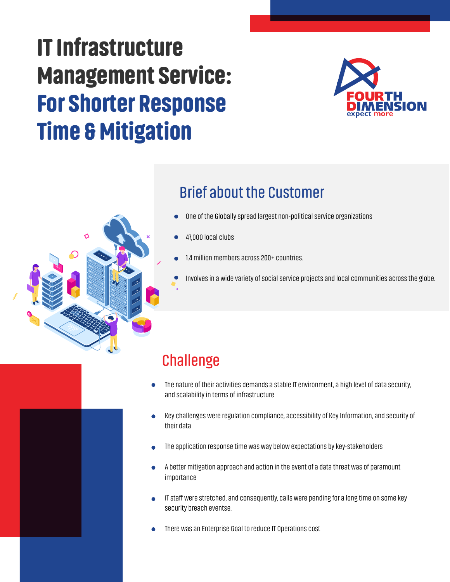# IT Infrastructure Management Service: For Shorter Response Time & Mitigation



#### **Brief about the Customer**

- One of the Globally spread largest non-political service organizations
- 47,000 local clubs
- 1.4 million members across 200+ countries.
	- Involves in a wide variety of social service projects and local communities across the globe.

## **Challenge**

- The nature of their activities demands a stable IT environment, a high level of data security, and scalability in terms of infrastructure
- Key challenges were regulation compliance, accessibility of Key Information, and security of  $\bullet$ their data
- The application response time was way below expectations by key-stakeholders
- A better mitigation approach and action in the event of a data threat was of paramount importance
- IT staff were stretched, and consequently, calls were pending for a long time on some key security breach eventse.
- There was an Enterprise Goal to reduce IT Operations cost